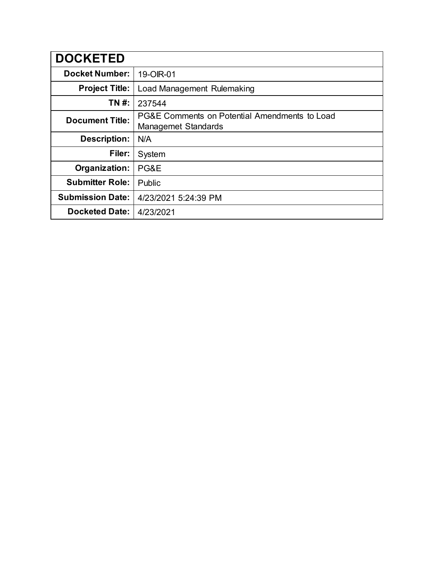| <b>DOCKETED</b>         |                                                                             |
|-------------------------|-----------------------------------------------------------------------------|
| <b>Docket Number:</b>   | 19-OIR-01                                                                   |
| <b>Project Title:</b>   | Load Management Rulemaking                                                  |
| TN #:                   | 237544                                                                      |
| <b>Document Title:</b>  | PG&E Comments on Potential Amendments to Load<br><b>Managemet Standards</b> |
| <b>Description:</b>     | N/A                                                                         |
| Filer:                  | System                                                                      |
| Organization:           | PG&E                                                                        |
| <b>Submitter Role:</b>  | Public                                                                      |
| <b>Submission Date:</b> | 4/23/2021 5:24:39 PM                                                        |
| <b>Docketed Date:</b>   | 4/23/2021                                                                   |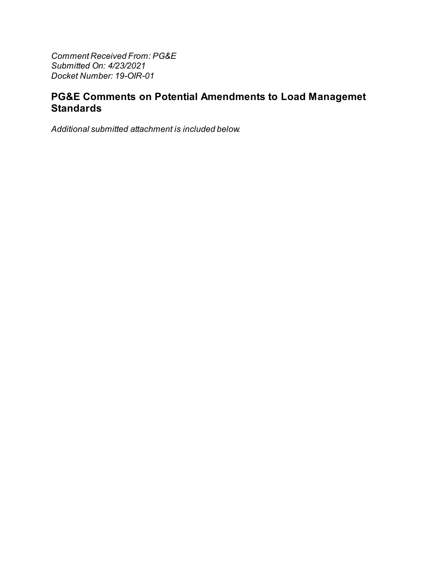Comment Received From: PG&E Submitted On: 4/23/2021 Docket Number: 19-OIR-01

# PG&E Comments on Potential Amendments to Load Managemet **Standards**

Additional submitted attachment is included below.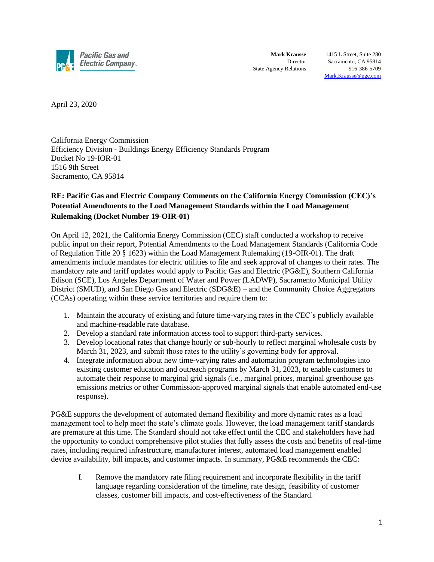

**Mark Krausse** 1415 L Street, Suite 280 Director Sacramento, CA 95814 State Agency Relations 916-386-5709 [Mark.Krausse@pge.com](mailto:Mark.Krausse@pge.com)

April 23, 2020

California Energy Commission Efficiency Division - Buildings Energy Efficiency Standards Program Docket No 19-IOR-01 1516 9th Street Sacramento, CA 95814

## **RE: Pacific Gas and Electric Company Comments on the California Energy Commission (CEC)'s Potential Amendments to the Load Management Standards within the Load Management Rulemaking (Docket Number 19-OIR-01)**

On April 12, 2021, the California Energy Commission (CEC) staff conducted a workshop to receive public input on their report, Potential Amendments to the Load Management Standards (California Code of Regulation Title 20 § 1623) within the Load Management Rulemaking (19-OIR-01). The draft amendments include mandates for electric utilities to file and seek approval of changes to their rates. The mandatory rate and tariff updates would apply to Pacific Gas and Electric (PG&E), Southern California Edison (SCE), Los Angeles Department of Water and Power (LADWP), Sacramento Municipal Utility District (SMUD), and San Diego Gas and Electric (SDG&E) – and the Community Choice Aggregators (CCAs) operating within these service territories and require them to:

- 1. Maintain the accuracy of existing and future time-varying rates in the CEC's publicly available and machine-readable rate database.
- 2. Develop a standard rate information access tool to support third-party services.
- 3. Develop locational rates that change hourly or sub-hourly to reflect marginal wholesale costs by March 31, 2023, and submit those rates to the utility's governing body for approval.
- 4. Integrate information about new time-varying rates and automation program technologies into existing customer education and outreach programs by March 31, 2023, to enable customers to automate their response to marginal grid signals (i.e., marginal prices, marginal greenhouse gas emissions metrics or other Commission-approved marginal signals that enable automated end-use response).

PG&E supports the development of automated demand flexibility and more dynamic rates as a load management tool to help meet the state's climate goals. However, the load management tariff standards are premature at this time. The Standard should not take effect until the CEC and stakeholders have had the opportunity to conduct comprehensive pilot studies that fully assess the costs and benefits of real-time rates, including required infrastructure, manufacturer interest, automated load management enabled device availability, bill impacts, and customer impacts. In summary, PG&E recommends the CEC:

I. Remove the mandatory rate filing requirement and incorporate flexibility in the tariff language regarding consideration of the timeline, rate design, feasibility of customer classes, customer bill impacts, and cost-effectiveness of the Standard.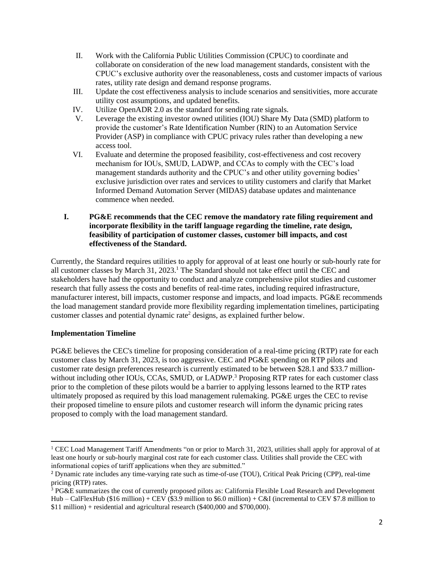- II. Work with the California Public Utilities Commission (CPUC) to coordinate and collaborate on consideration of the new load management standards, consistent with the CPUC's exclusive authority over the reasonableness, costs and customer impacts of various rates, utility rate design and demand response programs.
- III. Update the cost effectiveness analysis to include scenarios and sensitivities, more accurate utility cost assumptions, and updated benefits.
- IV. Utilize OpenADR 2.0 as the standard for sending rate signals.
- V. Leverage the existing investor owned utilities (IOU) Share My Data (SMD) platform to provide the customer's Rate Identification Number (RIN) to an Automation Service Provider (ASP) in compliance with CPUC privacy rules rather than developing a new access tool.
- VI. Evaluate and determine the proposed feasibility, cost-effectiveness and cost recovery mechanism for IOUs, SMUD, LADWP, and CCAs to comply with the CEC's load management standards authority and the CPUC's and other utility governing bodies' exclusive jurisdiction over rates and services to utility customers and clarify that Market Informed Demand Automation Server (MIDAS) database updates and maintenance commence when needed.

### **I. PG&E recommends that the CEC remove the mandatory rate filing requirement and incorporate flexibility in the tariff language regarding the timeline, rate design, feasibility of participation of customer classes, customer bill impacts, and cost effectiveness of the Standard.**

Currently, the Standard requires utilities to apply for approval of at least one hourly or sub-hourly rate for all customer classes by March 31, 2023.<sup>1</sup> The Standard should not take effect until the CEC and stakeholders have had the opportunity to conduct and analyze comprehensive pilot studies and customer research that fully assess the costs and benefits of real-time rates, including required infrastructure, manufacturer interest, bill impacts, customer response and impacts, and load impacts. PG&E recommends the load management standard provide more flexibility regarding implementation timelines, participating customer classes and potential dynamic rate<sup>2</sup> designs, as explained further below.

## **Implementation Timeline**

PG&E believes the CEC's timeline for proposing consideration of a real-time pricing (RTP) rate for each customer class by March 31, 2023, is too aggressive. CEC and PG&E spending on RTP pilots and customer rate design preferences research is currently estimated to be between \$28.1 and \$33.7 millionwithout including other IOUs, CCAs, SMUD, or LADWP.<sup>3</sup> Proposing RTP rates for each customer class prior to the completion of these pilots would be a barrier to applying lessons learned to the RTP rates ultimately proposed as required by this load management rulemaking. PG&E urges the CEC to revise their proposed timeline to ensure pilots and customer research will inform the dynamic pricing rates proposed to comply with the load management standard.

<sup>&</sup>lt;sup>1</sup> CEC Load Management Tariff Amendments "on or prior to March 31, 2023, utilities shall apply for approval of at least one hourly or sub-hourly marginal cost rate for each customer class. Utilities shall provide the CEC with informational copies of tariff applications when they are submitted."

<sup>2</sup> Dynamic rate includes any time-varying rate such as time-of-use (TOU), Critical Peak Pricing (CPP), real-time pricing (RTP) rates.

<sup>&</sup>lt;sup>3</sup> PG&E summarizes the cost of currently proposed pilots as: California Flexible Load Research and Development Hub – CalFlexHub (\$16 million) + CEV (\$3.9 million to \$6.0 million) + C&I (incremental to CEV \$7.8 million to \$11 million) + residential and agricultural research (\$400,000 and \$700,000).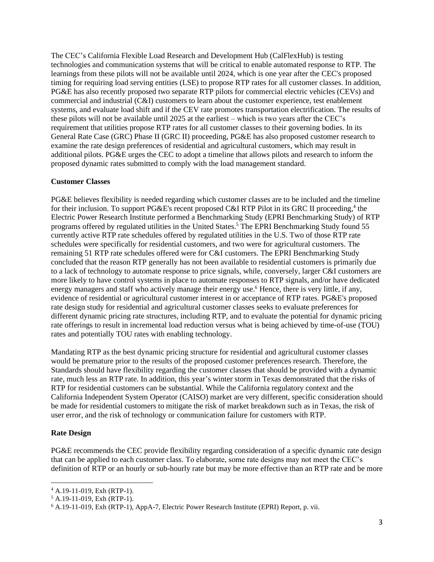The CEC's California Flexible Load Research and Development Hub (CalFlexHub) is testing technologies and communication systems that will be critical to enable automated response to RTP. The learnings from these pilots will not be available until 2024, which is one year after the CEC's proposed timing for requiring load serving entities (LSE) to propose RTP rates for all customer classes. In addition, PG&E has also recently proposed two separate RTP pilots for commercial electric vehicles (CEVs) and commercial and industrial (C&I) customers to learn about the customer experience, test enablement systems, and evaluate load shift and if the CEV rate promotes transportation electrification. The results of these pilots will not be available until 2025 at the earliest – which is two years after the CEC's requirement that utilities propose RTP rates for all customer classes to their governing bodies. In its General Rate Case (GRC) Phase II (GRC II) proceeding, PG&E has also proposed customer research to examine the rate design preferences of residential and agricultural customers, which may result in additional pilots. PG&E urges the CEC to adopt a timeline that allows pilots and research to inform the proposed dynamic rates submitted to comply with the load management standard.

#### **Customer Classes**

PG&E believes flexibility is needed regarding which customer classes are to be included and the timeline for their inclusion. To support PG&E's recent proposed C&I RTP Pilot in its GRC II proceeding,<sup>4</sup> the Electric Power Research Institute performed a Benchmarking Study (EPRI Benchmarking Study) of RTP programs offered by regulated utilities in the United States. <sup>5</sup> The EPRI Benchmarking Study found 55 currently active RTP rate schedules offered by regulated utilities in the U.S. Two of those RTP rate schedules were specifically for residential customers, and two were for agricultural customers. The remaining 51 RTP rate schedules offered were for C&I customers. The EPRI Benchmarking Study concluded that the reason RTP generally has not been available to residential customers is primarily due to a lack of technology to automate response to price signals, while, conversely, larger C&I customers are more likely to have control systems in place to automate responses to RTP signals, and/or have dedicated energy managers and staff who actively manage their energy use.<sup>6</sup> Hence, there is very little, if any, evidence of residential or agricultural customer interest in or acceptance of RTP rates. PG&E's proposed rate design study for residential and agricultural customer classes seeks to evaluate preferences for different dynamic pricing rate structures, including RTP, and to evaluate the potential for dynamic pricing rate offerings to result in incremental load reduction versus what is being achieved by time-of-use (TOU) rates and potentially TOU rates with enabling technology.

Mandating RTP as the best dynamic pricing structure for residential and agricultural customer classes would be premature prior to the results of the proposed customer preferences research. Therefore, the Standards should have flexibility regarding the customer classes that should be provided with a dynamic rate, much less an RTP rate. In addition, this year's winter storm in Texas demonstrated that the risks of RTP for residential customers can be substantial. While the California regulatory context and the California Independent System Operator (CAISO) market are very different, specific consideration should be made for residential customers to mitigate the risk of market breakdown such as in Texas, the risk of user error, and the risk of technology or communication failure for customers with RTP.

#### **Rate Design**

PG&E recommends the CEC provide flexibility regarding consideration of a specific dynamic rate design that can be applied to each customer class. To elaborate, some rate designs may not meet the CEC's definition of RTP or an hourly or sub-hourly rate but may be more effective than an RTP rate and be more

<sup>4</sup> A.19-11-019, Exh (RTP-1).

 $5$  A.19-11-019, Exh (RTP-1).

<sup>6</sup> A.19-11-019, Exh (RTP-1), AppA-7, Electric Power Research Institute (EPRI) Report, p. vii.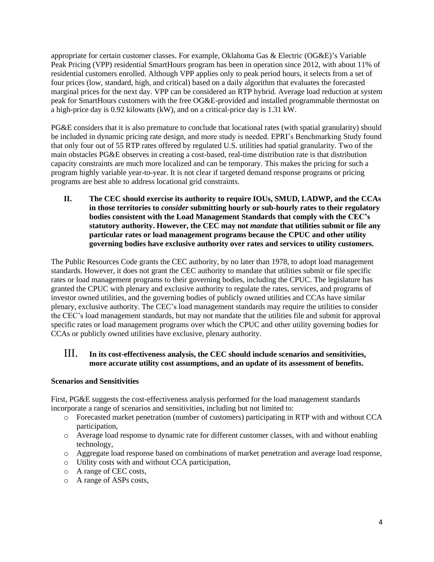appropriate for certain customer classes. For example, Oklahoma Gas & Electric (OG&E)'s Variable Peak Pricing (VPP) residential SmartHours program has been in operation since 2012, with about 11% of residential customers enrolled. Although VPP applies only to peak period hours, it selects from a set of four prices (low, standard, high, and critical) based on a daily algorithm that evaluates the forecasted marginal prices for the next day. VPP can be considered an RTP hybrid. Average load reduction at system peak for SmartHours customers with the free OG&E-provided and installed programmable thermostat on a high-price day is 0.92 kilowatts (kW), and on a critical-price day is 1.31 kW.

PG&E considers that it is also premature to conclude that locational rates (with spatial granularity) should be included in dynamic pricing rate design, and more study is needed. EPRI's Benchmarking Study found that only four out of 55 RTP rates offered by regulated U.S. utilities had spatial granularity. Two of the main obstacles PG&E observes in creating a cost-based, real-time distribution rate is that distribution capacity constraints are much more localized and can be temporary. This makes the pricing for such a program highly variable year-to-year. It is not clear if targeted demand response programs or pricing programs are best able to address locational grid constraints.

**II. The CEC should exercise its authority to require IOUs, SMUD, LADWP, and the CCAs in those territories to** *consider* **submitting hourly or sub-hourly rates to their regulatory bodies consistent with the Load Management Standards that comply with the CEC's statutory authority. However, the CEC may not** *mandate* **that utilities submit or file any particular rates or load management programs because the CPUC and other utility governing bodies have exclusive authority over rates and services to utility customers.**

The Public Resources Code grants the CEC authority, by no later than 1978, to adopt load management standards. However, it does not grant the CEC authority to mandate that utilities submit or file specific rates or load management programs to their governing bodies, including the CPUC. The legislature has granted the CPUC with plenary and exclusive authority to regulate the rates, services, and programs of investor owned utilities, and the governing bodies of publicly owned utilities and CCAs have similar plenary, exclusive authority. The CEC's load management standards may require the utilities to consider the CEC's load management standards, but may not mandate that the utilities file and submit for approval specific rates or load management programs over which the CPUC and other utility governing bodies for CCAs or publicly owned utilities have exclusive, plenary authority.

## III. **In its cost-effectiveness analysis, the CEC should include scenarios and sensitivities, more accurate utility cost assumptions, and an update of its assessment of benefits.**

#### **Scenarios and Sensitivities**

First, PG&E suggests the cost-effectiveness analysis performed for the load management standards incorporate a range of scenarios and sensitivities, including but not limited to:

- o Forecasted market penetration (number of customers) participating in RTP with and without CCA participation,
- o Average load response to dynamic rate for different customer classes, with and without enabling technology,
- o Aggregate load response based on combinations of market penetration and average load response,
- o Utility costs with and without CCA participation,
- o A range of CEC costs,
- o A range of ASPs costs,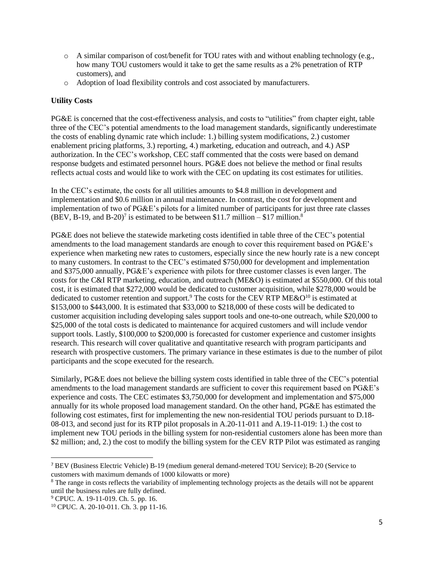- $\circ$  A similar comparison of cost/benefit for TOU rates with and without enabling technology (e.g., how many TOU customers would it take to get the same results as a 2% penetration of RTP customers), and
- o Adoption of load flexibility controls and cost associated by manufacturers.

## **Utility Costs**

PG&E is concerned that the cost-effectiveness analysis, and costs to "utilities" from chapter eight, table three of the CEC's potential amendments to the load management standards, significantly underestimate the costs of enabling dynamic rate which include: 1.) billing system modifications, 2.) customer enablement pricing platforms, 3.) reporting, 4.) marketing, education and outreach, and 4.) ASP authorization. In the CEC's workshop, CEC staff commented that the costs were based on demand response budgets and estimated personnel hours. PG&E does not believe the method or final results reflects actual costs and would like to work with the CEC on updating its cost estimates for utilities.

In the CEC's estimate, the costs for all utilities amounts to \$4.8 million in development and implementation and \$0.6 million in annual maintenance. In contrast, the cost for development and implementation of two of PG&E's pilots for a limited number of participants for just three rate classes (BEV, B-19, and B-20)<sup>7</sup> is estimated to be between \$11.7 million – \$17 million.<sup>8</sup>

PG&E does not believe the statewide marketing costs identified in table three of the CEC's potential amendments to the load management standards are enough to cover this requirement based on PG&E's experience when marketing new rates to customers, especially since the new hourly rate is a new concept to many customers. In contrast to the CEC's estimated \$750,000 for development and implementation and \$375,000 annually, PG&E's experience with pilots for three customer classes is even larger. The costs for the C&I RTP marketing, education, and outreach (ME&O) is estimated at \$550,000. Of this total cost, it is estimated that \$272,000 would be dedicated to customer acquisition, while \$278,000 would be dedicated to customer retention and support.<sup>9</sup> The costs for the CEV RTP ME&O<sup>10</sup> is estimated at \$153,000 to \$443,000. It is estimated that \$33,000 to \$218,000 of these costs will be dedicated to customer acquisition including developing sales support tools and one-to-one outreach, while \$20,000 to \$25,000 of the total costs is dedicated to maintenance for acquired customers and will include vendor support tools. Lastly, \$100,000 to \$200,000 is forecasted for customer experience and customer insights research. This research will cover qualitative and quantitative research with program participants and research with prospective customers. The primary variance in these estimates is due to the number of pilot participants and the scope executed for the research.

Similarly, PG&E does not believe the billing system costs identified in table three of the CEC's potential amendments to the load management standards are sufficient to cover this requirement based on PG&E's experience and costs. The CEC estimates \$3,750,000 for development and implementation and \$75,000 annually for its whole proposed load management standard. On the other hand, PG&E has estimated the following cost estimates, first for implementing the new non-residential TOU periods pursuant to D.18- 08-013, and second just for its RTP pilot proposals in A.20-11-011 and A.19-11-019: 1.) the cost to implement new TOU periods in the billing system for non-residential customers alone has been more than \$2 million; and, 2.) the cost to modify the billing system for the CEV RTP Pilot was estimated as ranging

<sup>7</sup> BEV (Business Electric Vehicle) B-19 (medium general demand-metered TOU Service); B-20 (Service to customers with maximum demands of 1000 kilowatts or more)

<sup>&</sup>lt;sup>8</sup> The range in costs reflects the variability of implementing technology projects as the details will not be apparent until the business rules are fully defined.

<sup>&</sup>lt;sup>9</sup> CPUC. A. 19-11-019. Ch. 5. pp. 16.

<sup>10</sup> CPUC. A. 20-10-011. Ch. 3. pp 11-16.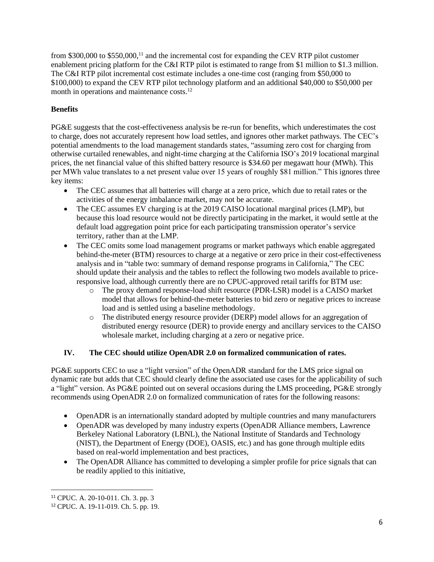from \$300,000 to \$550,000,<sup>11</sup> and the incremental cost for expanding the CEV RTP pilot customer enablement pricing platform for the C&I RTP pilot is estimated to range from \$1 million to \$1.3 million. The C&I RTP pilot incremental cost estimate includes a one-time cost (ranging from \$50,000 to \$100,000) to expand the CEV RTP pilot technology platform and an additional \$40,000 to \$50,000 per month in operations and maintenance costs.<sup>12</sup>

# **Benefits**

PG&E suggests that the cost-effectiveness analysis be re-run for benefits, which underestimates the cost to charge, does not accurately represent how load settles, and ignores other market pathways. The CEC's potential amendments to the load management standards states, "assuming zero cost for charging from otherwise curtailed renewables, and night-time charging at the California ISO's 2019 locational marginal prices, the net financial value of this shifted battery resource is \$34.60 per megawatt hour (MWh). This per MWh value translates to a net present value over 15 years of roughly \$81 million." This ignores three key items:

- The CEC assumes that all batteries will charge at a zero price, which due to retail rates or the activities of the energy imbalance market, may not be accurate.
- The CEC assumes EV charging is at the 2019 CAISO locational marginal prices (LMP), but because this load resource would not be directly participating in the market, it would settle at the default load aggregation point price for each participating transmission operator's service territory, rather than at the LMP.
- The CEC omits some load management programs or market pathways which enable aggregated behind-the-meter (BTM) resources to charge at a negative or zero price in their cost-effectiveness analysis and in "table two: summary of demand response programs in California," The CEC should update their analysis and the tables to reflect the following two models available to priceresponsive load, although currently there are no CPUC-approved retail tariffs for BTM use:
	- o The proxy demand response-load shift resource (PDR-LSR) model is a CAISO market model that allows for behind-the-meter batteries to bid zero or negative prices to increase load and is settled using a baseline methodology.
	- o The distributed energy resource provider (DERP) model allows for an aggregation of distributed energy resource (DER) to provide energy and ancillary services to the CAISO wholesale market, including charging at a zero or negative price.

## **IV. The CEC should utilize OpenADR 2.0 on formalized communication of rates.**

PG&E supports CEC to use a "light version" of the OpenADR standard for the LMS price signal on dynamic rate but adds that CEC should clearly define the associated use cases for the applicability of such a "light" version. As PG&E pointed out on several occasions during the LMS proceeding, PG&E strongly recommends using OpenADR 2.0 on formalized communication of rates for the following reasons:

- OpenADR is an internationally standard adopted by multiple countries and many manufacturers
- OpenADR was developed by many industry experts (OpenADR Alliance members, Lawrence Berkeley National Laboratory (LBNL), the National Institute of Standards and Technology (NIST), the Department of Energy (DOE), OASIS, etc.) and has gone through multiple edits based on real-world implementation and best practices,
- The OpenADR Alliance has committed to developing a simpler profile for price signals that can be readily applied to this initiative,

<sup>11</sup> CPUC. A. 20-10-011. Ch. 3. pp. 3

<sup>12</sup> CPUC. A. 19-11-019. Ch. 5. pp. 19.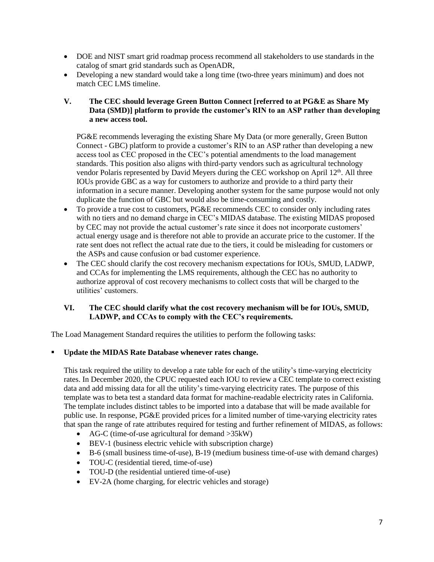- DOE and NIST smart grid roadmap process recommend all stakeholders to use standards in the catalog of smart grid standards such as OpenADR,
- Developing a new standard would take a long time (two-three years minimum) and does not match CEC LMS timeline.
- **V. The CEC should leverage Green Button Connect [referred to at PG&E as Share My Data (SMD)] platform to provide the customer's RIN to an ASP rather than developing a new access tool.**

PG&E recommends leveraging the existing Share My Data (or more generally, Green Button Connect - GBC) platform to provide a customer's RIN to an ASP rather than developing a new access tool as CEC proposed in the CEC's potential amendments to the load management standards. This position also aligns with third-party vendors such as agricultural technology vendor Polaris represented by David Meyers during the CEC workshop on April 12<sup>th</sup>. All three IOUs provide GBC as a way for customers to authorize and provide to a third party their information in a secure manner. Developing another system for the same purpose would not only duplicate the function of GBC but would also be time-consuming and costly.

- To provide a true cost to customers, PG&E recommends CEC to consider only including rates with no tiers and no demand charge in CEC's MIDAS database. The existing MIDAS proposed by CEC may not provide the actual customer's rate since it does not incorporate customers' actual energy usage and is therefore not able to provide an accurate price to the customer. If the rate sent does not reflect the actual rate due to the tiers, it could be misleading for customers or the ASPs and cause confusion or bad customer experience.
- The CEC should clarify the cost recovery mechanism expectations for IOUs, SMUD, LADWP, and CCAs for implementing the LMS requirements, although the CEC has no authority to authorize approval of cost recovery mechanisms to collect costs that will be charged to the utilities' customers.

#### **VI. The CEC should clarify what the cost recovery mechanism will be for IOUs, SMUD, LADWP, and CCAs to comply with the CEC's requirements.**

The Load Management Standard requires the utilities to perform the following tasks:

#### ▪ **Update the MIDAS Rate Database whenever rates change.**

This task required the utility to develop a rate table for each of the utility's time-varying electricity rates. In December 2020, the CPUC requested each IOU to review a CEC template to correct existing data and add missing data for all the utility's time-varying electricity rates. The purpose of this template was to beta test a standard data format for machine-readable electricity rates in California. The template includes distinct tables to be imported into a database that will be made available for public use. In response, PG&E provided prices for a limited number of time-varying electricity rates that span the range of rate attributes required for testing and further refinement of MIDAS, as follows:

- AG-C (time-of-use agricultural for demand >35kW)
- BEV-1 (business electric vehicle with subscription charge)
- B-6 (small business time-of-use), B-19 (medium business time-of-use with demand charges)
- TOU-C (residential tiered, time-of-use)
- TOU-D (the residential untiered time-of-use)
- EV-2A (home charging, for electric vehicles and storage)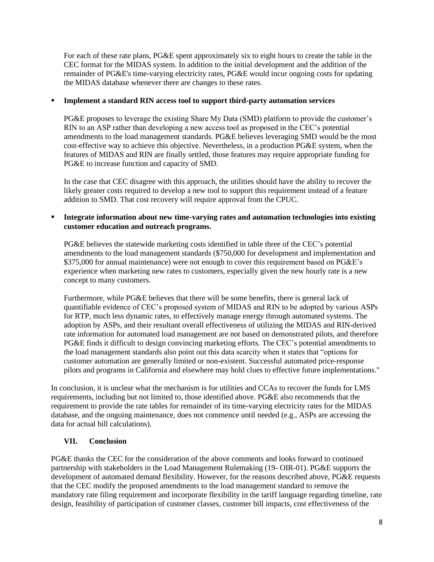For each of these rate plans, PG&E spent approximately six to eight hours to create the table in the CEC format for the MIDAS system. In addition to the initial development and the addition of the remainder of PG&E's time-varying electricity rates, PG&E would incur ongoing costs for updating the MIDAS database whenever there are changes to these rates.

### ▪ **Implement a standard RIN access tool to support third-party automation services**

PG&E proposes to leverage the existing Share My Data (SMD) platform to provide the customer's RIN to an ASP rather than developing a new access tool as proposed in the CEC's potential amendments to the load management standards. PG&E believes leveraging SMD would be the most cost-effective way to achieve this objective. Nevertheless, in a production PG&E system, when the features of MIDAS and RIN are finally settled, those features may require appropriate funding for PG&E to increase function and capacity of SMD.

In the case that CEC disagree with this approach, the utilities should have the ability to recover the likely greater costs required to develop a new tool to support this requirement instead of a feature addition to SMD. That cost recovery will require approval from the CPUC.

## ▪ **Integrate information about new time-varying rates and automation technologies into existing customer education and outreach programs.**

PG&E believes the statewide marketing costs identified in table three of the CEC's potential amendments to the load management standards (\$750,000 for development and implementation and \$375,000 for annual maintenance) were not enough to cover this requirement based on PG&E's experience when marketing new rates to customers, especially given the new hourly rate is a new concept to many customers.

Furthermore, while PG&E believes that there will be some benefits, there is general lack of quantifiable evidence of CEC's proposed system of MIDAS and RIN to be adopted by various ASPs for RTP, much less dynamic rates, to effectively manage energy through automated systems. The adoption by ASPs, and their resultant overall effectiveness of utilizing the MIDAS and RIN-derived rate information for automated load management are not based on demonstrated pilots, and therefore PG&E finds it difficult to design convincing marketing efforts. The CEC's potential amendments to the load management standards also point out this data scarcity when it states that "options for customer automation are generally limited or non-existent. Successful automated price-response pilots and programs in California and elsewhere may hold clues to effective future implementations."

In conclusion, it is unclear what the mechanism is for utilities and CCAs to recover the funds for LMS requirements, including but not limited to, those identified above. PG&E also recommends that the requirement to provide the rate tables for remainder of its time-varying electricity rates for the MIDAS database, and the ongoing maintenance, does not commence until needed (e.g., ASPs are accessing the data for actual bill calculations).

## **VII. Conclusion**

PG&E thanks the CEC for the consideration of the above comments and looks forward to continued partnership with stakeholders in the Load Management Rulemaking (19- OIR-01). PG&E supports the development of automated demand flexibility. However, for the reasons described above, PG&E requests that the CEC modify the proposed amendments to the load management standard to remove the mandatory rate filing requirement and incorporate flexibility in the tariff language regarding timeline, rate design, feasibility of participation of customer classes, customer bill impacts, cost effectiveness of the